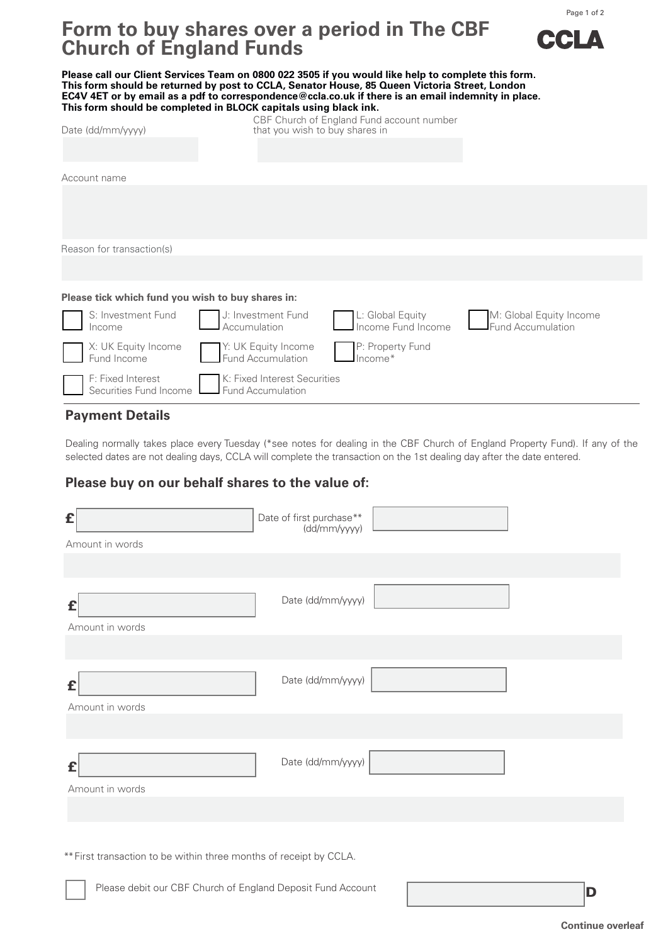

Page 1 of 2

# **Form to buy shares over a period in The CBF Church of England Funds**

**Please call our Client Services Team on 0800 022 3505 if you would like help to complete this form. This form should be returned by post to CCLA, Senator House, 85 Queen Victoria Street, London EC4V 4ET or by email as a pdf to correspondence@ccla.co.uk if there is an email indemnity in place. This form should be completed in BLOCK capitals using black ink.** CBF Church of England Fund account number Date (dd/mm/yyyy) example that you wish to buy shares in Account name Reason for transaction(s)

### **Please tick which fund you wish to buy shares in:**

|  |                                                                                                            | S: Investment Fund J: Investment Fund L: Global Equity M: Global Equity Income Income Income Income Income Eund Accumulation |
|--|------------------------------------------------------------------------------------------------------------|------------------------------------------------------------------------------------------------------------------------------|
|  | X: UK Equity Income M: UK Equity Income P: Property Fund<br>Fund Income Fund Accumulation P: Property Fund |                                                                                                                              |
|  | F: Fixed Interest<br>Securities Fund Income<br>Fund Accumulation                                           |                                                                                                                              |

## **Payment Details**

Dealing normally takes place every Tuesday (\*see notes for dealing in the CBF Church of England Property Fund). If any of the selected dates are not dealing days, CCLA will complete the transaction on the 1st dealing day after the date entered.

# **Please buy on our behalf shares to the value of:**

| £<br>Amount in words                                               | Date of first purchase**<br>(dd/mm/yyyy) |  |  |  |  |
|--------------------------------------------------------------------|------------------------------------------|--|--|--|--|
|                                                                    |                                          |  |  |  |  |
| £<br>Amount in words                                               | Date (dd/mm/yyyy)                        |  |  |  |  |
|                                                                    |                                          |  |  |  |  |
| £<br>Amount in words                                               | Date (dd/mm/yyyy)                        |  |  |  |  |
|                                                                    |                                          |  |  |  |  |
| £<br>Amount in words                                               | Date (dd/mm/yyyy)                        |  |  |  |  |
|                                                                    |                                          |  |  |  |  |
|                                                                    |                                          |  |  |  |  |
| ** First transaction to be within three months of receipt by CCLA. |                                          |  |  |  |  |
|                                                                    |                                          |  |  |  |  |

Please debit our CBF Church of England Deposit Fund Account Decree Decree Control Decree Decree Decree Decree D